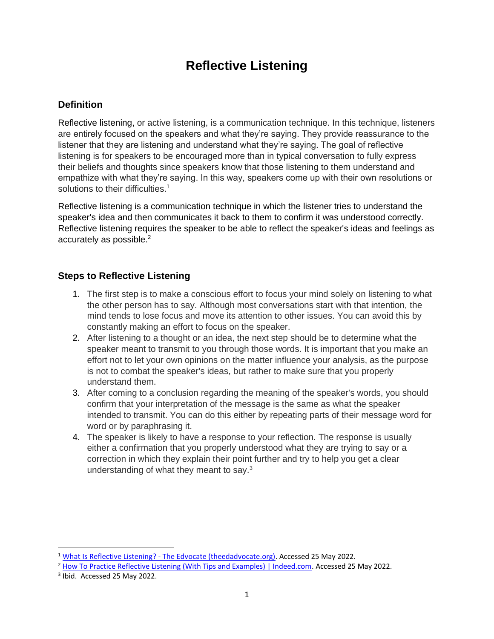# **Reflective Listening**

## **Definition**

[Reflective listening,](https://www.maxwell.syr.edu/uploadedfiles/parcc/cmc/reflective%20listening%20nk.pdf) or active listening, is a communication technique. In this technique, listeners are entirely focused on the speakers and what they're saying. They provide reassurance to the listener that they are listening and understand what they're saying. The goal of reflective listening is for speakers to be encouraged more than in typical conversation to fully express their beliefs and thoughts since speakers know that those listening to them understand and empathize with what they're saying. In this way, speakers come up with their own resolutions or solutions to their difficulties.<sup>1</sup>

Reflective listening is a communication technique in which the listener tries to understand the speaker's idea and then communicates it back to them to confirm it was understood correctly. Reflective listening requires the speaker to be able to reflect the speaker's ideas and feelings as accurately as possible.<sup>2</sup>

## **Steps to Reflective Listening**

- 1. The first step is to make a conscious effort to focus your mind solely on listening to what the other person has to say. Although most conversations start with that intention, the mind tends to lose focus and move its attention to other issues. You can avoid this by constantly making an effort to focus on the speaker.
- 2. After listening to a thought or an idea, the next step should be to determine what the speaker meant to transmit to you through those words. It is important that you make an effort not to let your own opinions on the matter influence your analysis, as the purpose is not to combat the speaker's ideas, but rather to make sure that you properly understand them.
- 3. After coming to a conclusion regarding the meaning of the speaker's words, you should confirm that your interpretation of the message is the same as what the speaker intended to transmit. You can do this either by repeating parts of their message word for word or by paraphrasing it.
- 4. The speaker is likely to have a response to your reflection. The response is usually either a confirmation that you properly understood what they are trying to say or a correction in which they explain their point further and try to help you get a clear understanding of what they meant to say. $3$

<sup>1</sup> What Is Reflective Listening? - [The Edvocate \(theedadvocate.org\).](https://www.theedadvocate.org/what-is-reflective-listening/) Accessed 25 May 2022.

<sup>&</sup>lt;sup>2</sup> [How To Practice Reflective Listening \(With Tips and Examples\) | Indeed.com.](https://www.indeed.com/career-advice/career-development/reflective-listening) Accessed 25 May 2022.

<sup>&</sup>lt;sup>3</sup> Ibid. Accessed 25 May 2022.